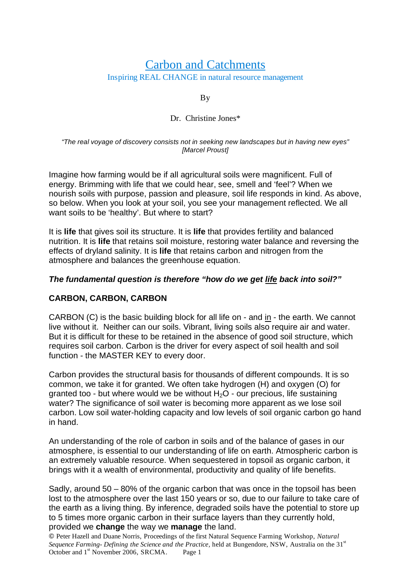# Carbon and Catchments Inspiring REAL CHANGE in natural resource management

By

### Dr. Christine Jones\*

#### *"The real voyage of discovery consists not in seeking new landscapes but in having new eyes" [Marcel Proust]*

Imagine how farming would be if all agricultural soils were magnificent. Full of energy. Brimming with life that we could hear, see, smell and 'feel'? When we nourish soils with purpose, passion and pleasure, soil life responds in kind. As above, so below. When you look at your soil, you see your management reflected. We all want soils to be 'healthy'. But where to start?

It is **life** that gives soil its structure. It is **life** that provides fertility and balanced nutrition. It is **life** that retains soil moisture, restoring water balance and reversing the effects of dryland salinity. It is **life** that retains carbon and nitrogen from the atmosphere and balances the greenhouse equation.

## *The fundamental question is therefore "how do we get life back into soil?"*

## **CARBON, CARBON, CARBON**

CARBON (C) is the basic building block for all life on - and in - the earth. We cannot live without it. Neither can our soils. Vibrant, living soils also require air and water. But it is difficult for these to be retained in the absence of good soil structure, which requires soil carbon. Carbon is the driver for every aspect of soil health and soil function - the MASTER KEY to every door.

Carbon provides the structural basis for thousands of different compounds. It is so common, we take it for granted. We often take hydrogen (H) and oxygen (O) for granted too - but where would we be without  $H_2O$  - our precious, life sustaining water? The significance of soil water is becoming more apparent as we lose soil carbon. Low soil water-holding capacity and low levels of soil organic carbon go hand in hand.

An understanding of the role of carbon in soils and of the balance of gases in our atmosphere, is essential to our understanding of life on earth. Atmospheric carbon is an extremely valuable resource. When sequestered in topsoil as organic carbon, it brings with it a wealth of environmental, productivity and quality of life benefits.

Sadly, around 50 – 80% of the organic carbon that was once in the topsoil has been lost to the atmosphere over the last 150 years or so, due to our failure to take care of the earth as a living thing. By inference, degraded soils have the potential to store up to 5 times more organic carbon in their surface layers than they currently hold, provided we **change** the way we **manage** the land.

 Peter Hazell and Duane Norris, Proceedings of the first Natural Sequence Farming Workshop, *Natural Sequence Farming- Defining the Science and the Practice, held at Bungendore, NSW, Australia on the 31<sup>st</sup>* October and 1<sup>st</sup> November 2006, SRCMA. Page 1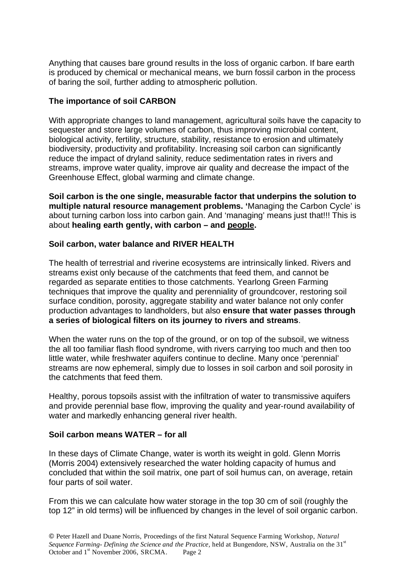Anything that causes bare ground results in the loss of organic carbon. If bare earth is produced by chemical or mechanical means, we burn fossil carbon in the process of baring the soil, further adding to atmospheric pollution.

### **The importance of soil CARBON**

With appropriate changes to land management, agricultural soils have the capacity to sequester and store large volumes of carbon, thus improving microbial content, biological activity, fertility, structure, stability, resistance to erosion and ultimately biodiversity, productivity and profitability. Increasing soil carbon can significantly reduce the impact of dryland salinity, reduce sedimentation rates in rivers and streams, improve water quality, improve air quality and decrease the impact of the Greenhouse Effect, global warming and climate change.

**Soil carbon is the one single, measurable factor that underpins the solution to multiple natural resource management problems. '**Managing the Carbon Cycle' is about turning carbon loss into carbon gain. And 'managing' means just that!!! This is about **healing earth gently, with carbon – and people.** 

### **Soil carbon, water balance and RIVER HEALTH**

The health of terrestrial and riverine ecosystems are intrinsically linked. Rivers and streams exist only because of the catchments that feed them, and cannot be regarded as separate entities to those catchments. Yearlong Green Farming techniques that improve the quality and perenniality of groundcover, restoring soil surface condition, porosity, aggregate stability and water balance not only confer production advantages to landholders, but also **ensure that water passes through a series of biological filters on its journey to rivers and streams**.

When the water runs on the top of the ground, or on top of the subsoil, we witness the all too familiar flash flood syndrome, with rivers carrying too much and then too little water, while freshwater aquifers continue to decline. Many once 'perennial' streams are now ephemeral, simply due to losses in soil carbon and soil porosity in the catchments that feed them.

Healthy, porous topsoils assist with the infiltration of water to transmissive aquifers and provide perennial base flow, improving the quality and year-round availability of water and markedly enhancing general river health.

### **Soil carbon means WATER – for all**

In these days of Climate Change, water is worth its weight in gold. Glenn Morris (Morris 2004) extensively researched the water holding capacity of humus and concluded that within the soil matrix, one part of soil humus can, on average, retain four parts of soil water.

From this we can calculate how water storage in the top 30 cm of soil (roughly the top 12" in old terms) will be influenced by changes in the level of soil organic carbon.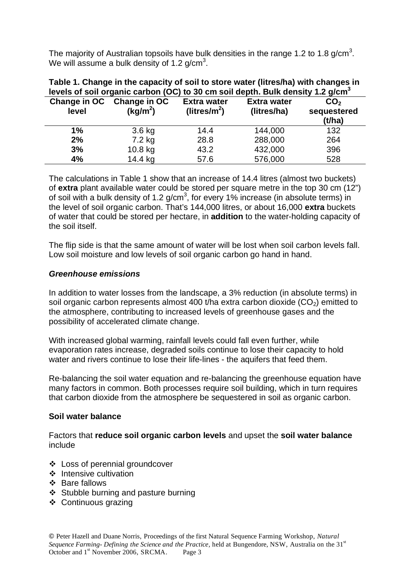The majority of Australian topsoils have bulk densities in the range 1.2 to 1.8 g/cm<sup>3</sup>. We will assume a bulk density of 1.2 g/cm<sup>3</sup>.

| Table 1. Change in the capacity of soil to store water (litres/ha) with changes in<br>levels of soil organic carbon (OC) to 30 cm soil depth. Bulk density 1.2 g/cm <sup>3</sup> |                                                   |                                                |                                   |                                          |
|----------------------------------------------------------------------------------------------------------------------------------------------------------------------------------|---------------------------------------------------|------------------------------------------------|-----------------------------------|------------------------------------------|
| level                                                                                                                                                                            | Change in OC Change in OC<br>(kg/m <sup>2</sup> ) | <b>Extra water</b><br>(litres/m <sup>2</sup> ) | <b>Extra water</b><br>(litres/ha) | CO <sub>2</sub><br>sequestered<br>(t/ha) |
| 1%                                                                                                                                                                               | 3.6 kg                                            | 14.4                                           | 144,000                           | 132                                      |
| 2%                                                                                                                                                                               | 7.2 kg                                            | 28.8                                           | 288,000                           | 264                                      |
| 3%                                                                                                                                                                               | 10.8 kg                                           | 43.2                                           | 432,000                           | 396                                      |
| 4%                                                                                                                                                                               | 14.4 kg                                           | 57.6                                           | 576,000                           | 528                                      |

The calculations in Table 1 show that an increase of 14.4 litres (almost two buckets) of **extra** plant available water could be stored per square metre in the top 30 cm (12") of soil with a bulk density of 1.2 g/cm<sup>3</sup>, for every 1% increase (in absolute terms) in the level of soil organic carbon. That's 144,000 litres, or about 16,000 **extra** buckets of water that could be stored per hectare, in **addition** to the water-holding capacity of the soil itself.

The flip side is that the same amount of water will be lost when soil carbon levels fall. Low soil moisture and low levels of soil organic carbon go hand in hand.

### *Greenhouse emissions*

In addition to water losses from the landscape, a 3% reduction (in absolute terms) in soil organic carbon represents almost 400 t/ha extra carbon dioxide  $(CO<sub>2</sub>)$  emitted to the atmosphere, contributing to increased levels of greenhouse gases and the possibility of accelerated climate change.

With increased global warming, rainfall levels could fall even further, while evaporation rates increase, degraded soils continue to lose their capacity to hold water and rivers continue to lose their life-lines - the aquifers that feed them.

Re-balancing the soil water equation and re-balancing the greenhouse equation have many factors in common. Both processes require soil building, which in turn requires that carbon dioxide from the atmosphere be sequestered in soil as organic carbon.

#### **Soil water balance**

Factors that **reduce soil organic carbon levels** and upset the **soil water balance** include

- Loss of perennial groundcover
- ❖ Intensive cultivation
- ❖ Bare fallows
- ❖ Stubble burning and pasture burning
- Continuous grazing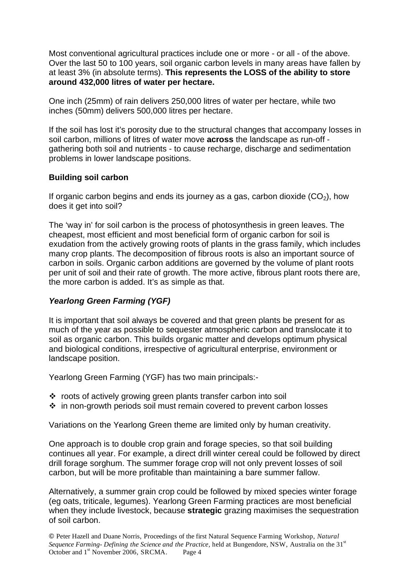Most conventional agricultural practices include one or more - or all - of the above. Over the last 50 to 100 years, soil organic carbon levels in many areas have fallen by at least 3% (in absolute terms). **This represents the LOSS of the ability to store around 432,000 litres of water per hectare.** 

One inch (25mm) of rain delivers 250,000 litres of water per hectare, while two inches (50mm) delivers 500,000 litres per hectare.

If the soil has lost it's porosity due to the structural changes that accompany losses in soil carbon, millions of litres of water move **across** the landscape as run-off gathering both soil and nutrients - to cause recharge, discharge and sedimentation problems in lower landscape positions.

## **Building soil carbon**

If organic carbon begins and ends its journey as a gas, carbon dioxide  $(CO<sub>2</sub>)$ , how does it get into soil?

The 'way in' for soil carbon is the process of photosynthesis in green leaves. The cheapest, most efficient and most beneficial form of organic carbon for soil is exudation from the actively growing roots of plants in the grass family, which includes many crop plants. The decomposition of fibrous roots is also an important source of carbon in soils. Organic carbon additions are governed by the volume of plant roots per unit of soil and their rate of growth. The more active, fibrous plant roots there are, the more carbon is added. It's as simple as that.

# *Yearlong Green Farming (YGF)*

It is important that soil always be covered and that green plants be present for as much of the year as possible to sequester atmospheric carbon and translocate it to soil as organic carbon. This builds organic matter and develops optimum physical and biological conditions, irrespective of agricultural enterprise, environment or landscape position.

Yearlong Green Farming (YGF) has two main principals:-

- roots of actively growing green plants transfer carbon into soil
- in non-growth periods soil must remain covered to prevent carbon losses

Variations on the Yearlong Green theme are limited only by human creativity.

One approach is to double crop grain and forage species, so that soil building continues all year. For example, a direct drill winter cereal could be followed by direct drill forage sorghum. The summer forage crop will not only prevent losses of soil carbon, but will be more profitable than maintaining a bare summer fallow.

Alternatively, a summer grain crop could be followed by mixed species winter forage (eg oats, triticale, legumes). Yearlong Green Farming practices are most beneficial when they include livestock, because **strategic** grazing maximises the sequestration of soil carbon.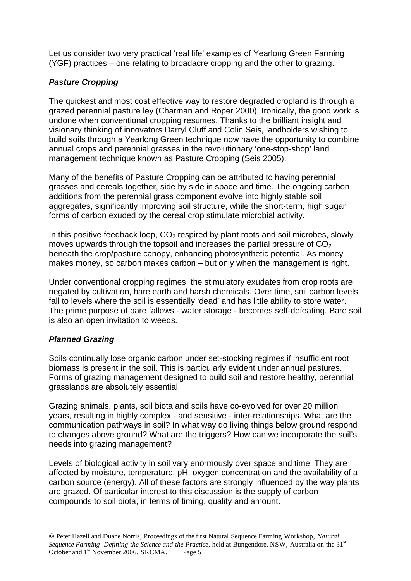Let us consider two very practical 'real life' examples of Yearlong Green Farming (YGF) practices – one relating to broadacre cropping and the other to grazing.

# *Pasture Cropping*

The quickest and most cost effective way to restore degraded cropland is through a grazed perennial pasture ley (Charman and Roper 2000). Ironically, the good work is undone when conventional cropping resumes. Thanks to the brilliant insight and visionary thinking of innovators Darryl Cluff and Colin Seis, landholders wishing to build soils through a Yearlong Green technique now have the opportunity to combine annual crops and perennial grasses in the revolutionary 'one-stop-shop' land management technique known as Pasture Cropping (Seis 2005).

Many of the benefits of Pasture Cropping can be attributed to having perennial grasses and cereals together, side by side in space and time. The ongoing carbon additions from the perennial grass component evolve into highly stable soil aggregates, significantly improving soil structure, while the short-term, high sugar forms of carbon exuded by the cereal crop stimulate microbial activity.

In this positive feedback loop,  $CO<sub>2</sub>$  respired by plant roots and soil microbes, slowly moves upwards through the topsoil and increases the partial pressure of  $CO<sub>2</sub>$ beneath the crop/pasture canopy, enhancing photosynthetic potential. As money makes money, so carbon makes carbon – but only when the management is right.

Under conventional cropping regimes, the stimulatory exudates from crop roots are negated by cultivation, bare earth and harsh chemicals. Over time, soil carbon levels fall to levels where the soil is essentially 'dead' and has little ability to store water. The prime purpose of bare fallows - water storage - becomes self-defeating. Bare soil is also an open invitation to weeds.

# *Planned Grazing*

Soils continually lose organic carbon under set-stocking regimes if insufficient root biomass is present in the soil. This is particularly evident under annual pastures. Forms of grazing management designed to build soil and restore healthy, perennial grasslands are absolutely essential.

Grazing animals, plants, soil biota and soils have co-evolved for over 20 million years, resulting in highly complex - and sensitive - inter-relationships. What are the communication pathways in soil? In what way do living things below ground respond to changes above ground? What are the triggers? How can we incorporate the soil's needs into grazing management?

Levels of biological activity in soil vary enormously over space and time. They are affected by moisture, temperature, pH, oxygen concentration and the availability of a carbon source (energy). All of these factors are strongly influenced by the way plants are grazed. Of particular interest to this discussion is the supply of carbon compounds to soil biota, in terms of timing, quality and amount.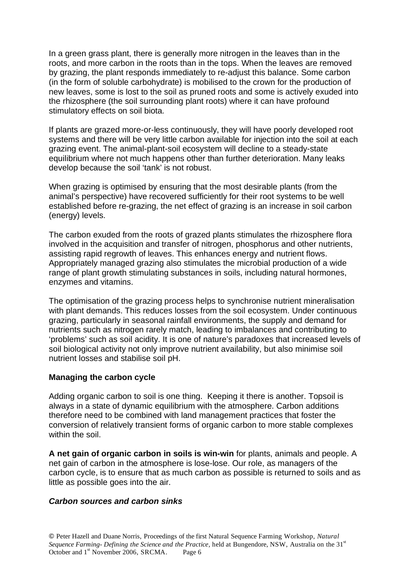In a green grass plant, there is generally more nitrogen in the leaves than in the roots, and more carbon in the roots than in the tops. When the leaves are removed by grazing, the plant responds immediately to re-adjust this balance. Some carbon (in the form of soluble carbohydrate) is mobilised to the crown for the production of new leaves, some is lost to the soil as pruned roots and some is actively exuded into the rhizosphere (the soil surrounding plant roots) where it can have profound stimulatory effects on soil biota.

If plants are grazed more-or-less continuously, they will have poorly developed root systems and there will be very little carbon available for injection into the soil at each grazing event. The animal-plant-soil ecosystem will decline to a steady-state equilibrium where not much happens other than further deterioration. Many leaks develop because the soil 'tank' is not robust.

When grazing is optimised by ensuring that the most desirable plants (from the animal's perspective) have recovered sufficiently for their root systems to be well established before re-grazing, the net effect of grazing is an increase in soil carbon (energy) levels.

The carbon exuded from the roots of grazed plants stimulates the rhizosphere flora involved in the acquisition and transfer of nitrogen, phosphorus and other nutrients, assisting rapid regrowth of leaves. This enhances energy and nutrient flows. Appropriately managed grazing also stimulates the microbial production of a wide range of plant growth stimulating substances in soils, including natural hormones, enzymes and vitamins.

The optimisation of the grazing process helps to synchronise nutrient mineralisation with plant demands. This reduces losses from the soil ecosystem. Under continuous grazing, particularly in seasonal rainfall environments, the supply and demand for nutrients such as nitrogen rarely match, leading to imbalances and contributing to 'problems' such as soil acidity. It is one of nature's paradoxes that increased levels of soil biological activity not only improve nutrient availability, but also minimise soil nutrient losses and stabilise soil pH.

## **Managing the carbon cycle**

Adding organic carbon to soil is one thing. Keeping it there is another. Topsoil is always in a state of dynamic equilibrium with the atmosphere. Carbon additions therefore need to be combined with land management practices that foster the conversion of relatively transient forms of organic carbon to more stable complexes within the soil

**A net gain of organic carbon in soils is win-win** for plants, animals and people. A net gain of carbon in the atmosphere is lose-lose. Our role, as managers of the carbon cycle, is to ensure that as much carbon as possible is returned to soils and as little as possible goes into the air.

### *Carbon sources and carbon sinks*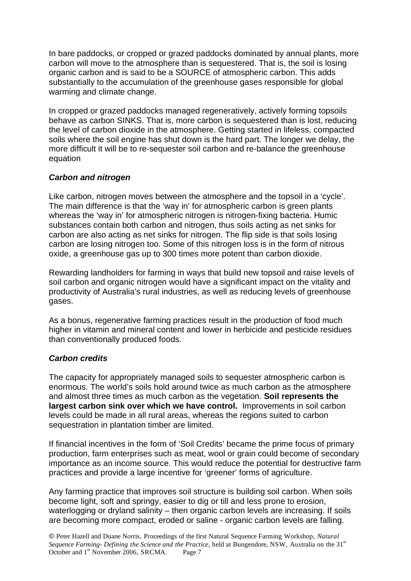In bare paddocks, or cropped or grazed paddocks dominated by annual plants, more carbon will move to the atmosphere than is sequestered. That is, the soil is losing organic carbon and is said to be a SOURCE of atmospheric carbon. This adds substantially to the accumulation of the greenhouse gases responsible for global warming and climate change.

In cropped or grazed paddocks managed regeneratively, actively forming topsoils behave as carbon SINKS. That is, more carbon is sequestered than is lost, reducing the level of carbon dioxide in the atmosphere. Getting started in lifeless, compacted soils where the soil engine has shut down is the hard part. The longer we delay, the more difficult it will be to re-sequester soil carbon and re-balance the greenhouse equation

## *Carbon and nitrogen*

Like carbon, nitrogen moves between the atmosphere and the topsoil in a 'cycle'. The main difference is that the 'way in' for atmospheric carbon is green plants whereas the 'way in' for atmospheric nitrogen is nitrogen-fixing bacteria. Humic substances contain both carbon and nitrogen, thus soils acting as net sinks for carbon are also acting as net sinks for nitrogen. The flip side is that soils losing carbon are losing nitrogen too. Some of this nitrogen loss is in the form of nitrous oxide, a greenhouse gas up to 300 times more potent than carbon dioxide.

Rewarding landholders for farming in ways that build new topsoil and raise levels of soil carbon and organic nitrogen would have a significant impact on the vitality and productivity of Australia's rural industries, as well as reducing levels of greenhouse gases.

As a bonus, regenerative farming practices result in the production of food much higher in vitamin and mineral content and lower in herbicide and pesticide residues than conventionally produced foods.

## *Carbon credits*

The capacity for appropriately managed soils to sequester atmospheric carbon is enormous. The world's soils hold around twice as much carbon as the atmosphere and almost three times as much carbon as the vegetation. **Soil represents the largest carbon sink over which we have control.** Improvements in soil carbon levels could be made in all rural areas, whereas the regions suited to carbon sequestration in plantation timber are limited.

If financial incentives in the form of 'Soil Credits' became the prime focus of primary production, farm enterprises such as meat, wool or grain could become of secondary importance as an income source. This would reduce the potential for destructive farm practices and provide a large incentive for 'greener' forms of agriculture.

Any farming practice that improves soil structure is building soil carbon. When soils become light, soft and springy, easier to dig or till and less prone to erosion, waterlogging or dryland salinity – then organic carbon levels are increasing. If soils are becoming more compact, eroded or saline - organic carbon levels are falling.

 Peter Hazell and Duane Norris, Proceedings of the first Natural Sequence Farming Workshop, *Natural Sequence Farming- Defining the Science and the Practice, held at Bungendore, NSW, Australia on the 31<sup>st</sup>* October and 1<sup>st</sup> November 2006, SRCMA. Page 7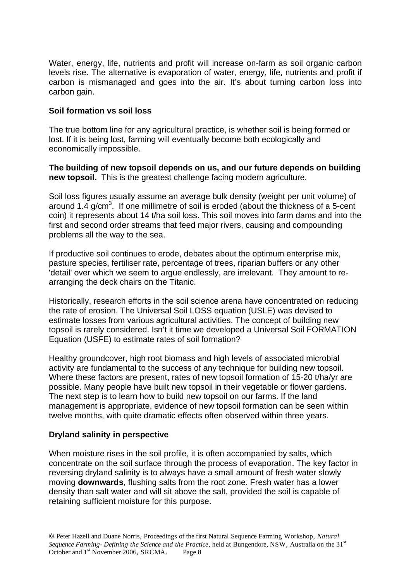Water, energy, life, nutrients and profit will increase on-farm as soil organic carbon levels rise. The alternative is evaporation of water, energy, life, nutrients and profit if carbon is mismanaged and goes into the air. It's about turning carbon loss into carbon gain.

### **Soil formation vs soil loss**

The true bottom line for any agricultural practice, is whether soil is being formed or lost. If it is being lost, farming will eventually become both ecologically and economically impossible.

**The building of new topsoil depends on us, and our future depends on building new topsoil.** This is the greatest challenge facing modern agriculture.

Soil loss figures usually assume an average bulk density (weight per unit volume) of around 1.4  $g/cm<sup>3</sup>$ . If one millimetre of soil is eroded (about the thickness of a 5-cent coin) it represents about 14 t/ha soil loss. This soil moves into farm dams and into the first and second order streams that feed major rivers, causing and compounding problems all the way to the sea.

If productive soil continues to erode, debates about the optimum enterprise mix, pasture species, fertiliser rate, percentage of trees, riparian buffers or any other 'detail' over which we seem to argue endlessly, are irrelevant. They amount to rearranging the deck chairs on the Titanic.

Historically, research efforts in the soil science arena have concentrated on reducing the rate of erosion. The Universal Soil LOSS equation (USLE) was devised to estimate losses from various agricultural activities. The concept of building new topsoil is rarely considered. Isn't it time we developed a Universal Soil FORMATION Equation (USFE) to estimate rates of soil formation?

Healthy groundcover, high root biomass and high levels of associated microbial activity are fundamental to the success of any technique for building new topsoil. Where these factors are present, rates of new topsoil formation of 15-20 t/ha/yr are possible. Many people have built new topsoil in their vegetable or flower gardens. The next step is to learn how to build new topsoil on our farms. If the land management is appropriate, evidence of new topsoil formation can be seen within twelve months, with quite dramatic effects often observed within three years.

### **Dryland salinity in perspective**

When moisture rises in the soil profile, it is often accompanied by salts, which concentrate on the soil surface through the process of evaporation. The key factor in reversing dryland salinity is to always have a small amount of fresh water slowly moving **downwards**, flushing salts from the root zone. Fresh water has a lower density than salt water and will sit above the salt, provided the soil is capable of retaining sufficient moisture for this purpose.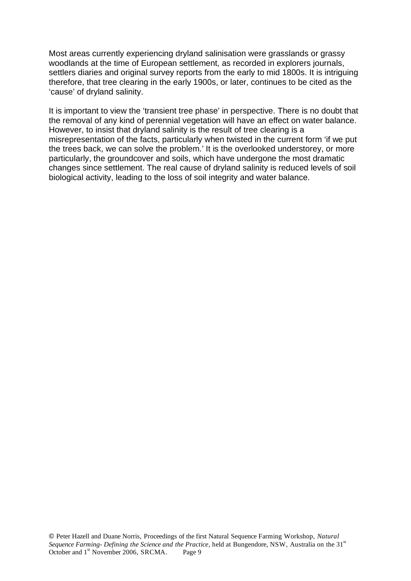Most areas currently experiencing dryland salinisation were grasslands or grassy woodlands at the time of European settlement, as recorded in explorers journals, settlers diaries and original survey reports from the early to mid 1800s. It is intriguing therefore, that tree clearing in the early 1900s, or later, continues to be cited as the 'cause' of dryland salinity.

It is important to view the 'transient tree phase' in perspective. There is no doubt that the removal of any kind of perennial vegetation will have an effect on water balance. However, to insist that dryland salinity is the result of tree clearing is a misrepresentation of the facts, particularly when twisted in the current form 'if we put the trees back, we can solve the problem.' It is the overlooked understorey, or more particularly, the groundcover and soils, which have undergone the most dramatic changes since settlement. The real cause of dryland salinity is reduced levels of soil biological activity, leading to the loss of soil integrity and water balance.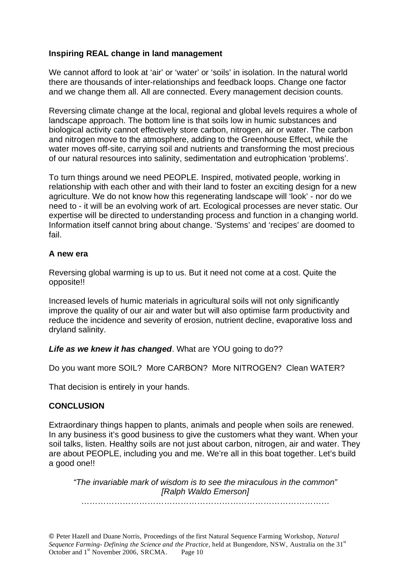### **Inspiring REAL change in land management**

We cannot afford to look at 'air' or 'water' or 'soils' in isolation. In the natural world there are thousands of inter-relationships and feedback loops. Change one factor and we change them all. All are connected. Every management decision counts.

Reversing climate change at the local, regional and global levels requires a whole of landscape approach. The bottom line is that soils low in humic substances and biological activity cannot effectively store carbon, nitrogen, air or water. The carbon and nitrogen move to the atmosphere, adding to the Greenhouse Effect, while the water moves off-site, carrying soil and nutrients and transforming the most precious of our natural resources into salinity, sedimentation and eutrophication 'problems'.

To turn things around we need PEOPLE. Inspired, motivated people, working in relationship with each other and with their land to foster an exciting design for a new agriculture. We do not know how this regenerating landscape will 'look' - nor do we need to - it will be an evolving work of art. Ecological processes are never static. Our expertise will be directed to understanding process and function in a changing world. Information itself cannot bring about change. 'Systems' and 'recipes' are doomed to fail.

### **A new era**

Reversing global warming is up to us. But it need not come at a cost. Quite the opposite!!

Increased levels of humic materials in agricultural soils will not only significantly improve the quality of our air and water but will also optimise farm productivity and reduce the incidence and severity of erosion, nutrient decline, evaporative loss and dryland salinity.

*Life as we knew it has changed*. What are YOU going to do??

Do you want more SOIL? More CARBON? More NITROGEN? Clean WATER?

That decision is entirely in your hands.

### **CONCLUSION**

Extraordinary things happen to plants, animals and people when soils are renewed. In any business it's good business to give the customers what they want. When your soil talks, listen. Healthy soils are not just about carbon, nitrogen, air and water. They are about PEOPLE, including you and me. We're all in this boat together. Let's build a good one!!

*"The invariable mark of wisdom is to see the miraculous in the common" [Ralph Waldo Emerson]* 

………………………………………………………………………………